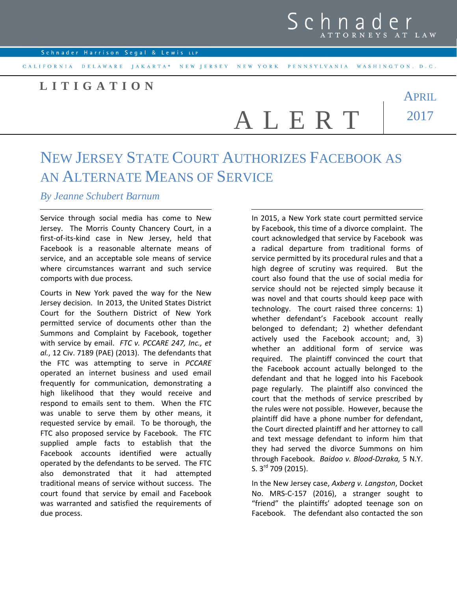APRIL

2017

## **L I T I G A T I O N**

A L E R T

## NEW JERSEY STATE COURT AUTHORIZES FACEBOOK AS AN ALTERNATE MEANS OF SERVICE

*By Jeanne Schubert Barnum* 

Service through social media has come to New Jersey. The Morris County Chancery Court, in a first-of-its-kind case in New Jersey, held that Facebook is a reasonable alternate means of service, and an acceptable sole means of service where circumstances warrant and such service comports with due process.

Courts in New York paved the way for the New Jersey decision. In 2013, the United States District Court for the Southern District of New York permitted service of documents other than the Summons and Complaint by Facebook, together with service by email. *FTC v. PCCARE 247, Inc., et al.*, 12 Civ. 7189 (PAE) (2013). The defendants that the FTC was attempting to serve in *PCCARE* operated an internet business and used email frequently for communication, demonstrating a high likelihood that they would receive and respond to emails sent to them. When the FTC was unable to serve them by other means, it requested service by email. To be thorough, the FTC also proposed service by Facebook. The FTC supplied ample facts to establish that the Facebook accounts identified were actually operated by the defendants to be served. The FTC also demonstrated that it had attempted traditional means of service without success. The court found that service by email and Facebook was warranted and satisfied the requirements of due process.

In 2015, a New York state court permitted service by Facebook, this time of a divorce complaint. The court acknowledged that service by Facebook was a radical departure from traditional forms of service permitted by its procedural rules and that a high degree of scrutiny was required. But the court also found that the use of social media for service should not be rejected simply because it was novel and that courts should keep pace with technology. The court raised three concerns: 1) whether defendant's Facebook account really belonged to defendant; 2) whether defendant actively used the Facebook account; and, 3) whether an additional form of service was required. The plaintiff convinced the court that the Facebook account actually belonged to the defendant and that he logged into his Facebook page regularly. The plaintiff also convinced the court that the methods of service prescribed by the rules were not possible. However, because the plaintiff did have a phone number for defendant, the Court directed plaintiff and her attorney to call and text message defendant to inform him that they had served the divorce Summons on him through Facebook. *Baidoo v. Blood-Dzraka,* 5 N.Y. S. 3<sup>rd</sup> 709 (2015).

In the New Jersey case, *Axberg v. Langston*, Docket No. MRS-C-157 (2016), a stranger sought to "friend" the plaintiffs' adopted teenage son on Facebook. The defendant also contacted the son